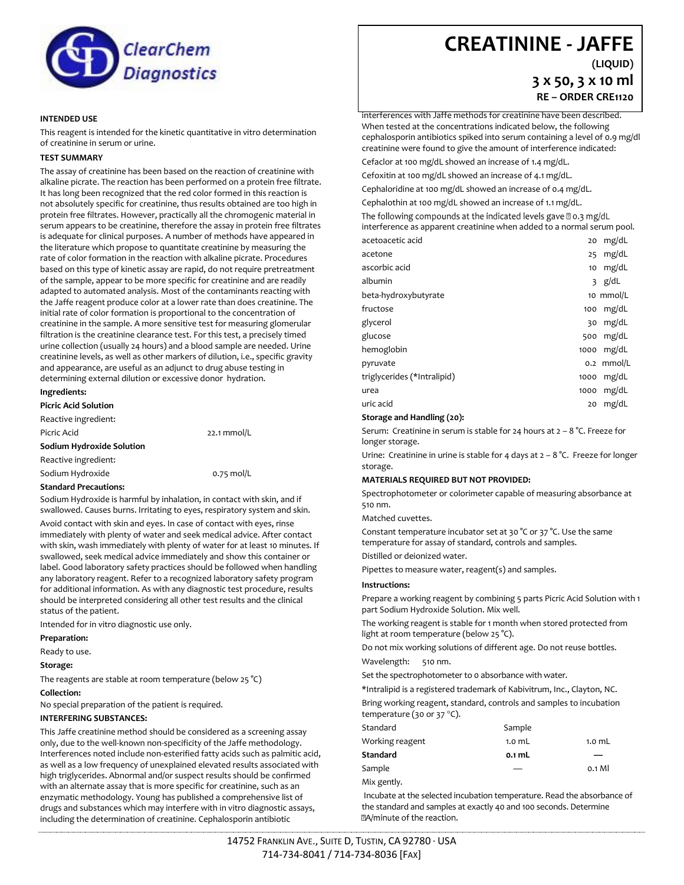

#### **INTENDED USE**

This reagent is intended for the kinetic quantitative in vitro determination of creatinine in serum or urine.

#### **TEST SUMMARY**

The assay of creatinine has been based on the reaction of creatinine with alkaline picrate. The reaction has been performed on a protein free filtrate. It has long been recognized that the red color formed in this reaction is not absolutely specific for creatinine, thus results obtained are too high in protein free filtrates. However, practically all the chromogenic material in serum appears to be creatinine, therefore the assay in protein free filtrates is adequate for clinical purposes. A number of methods have appeared in the literature which propose to quantitate creatinine by measuring the rate of color formation in the reaction with alkaline picrate. Procedures based on this type of kinetic assay are rapid, do not require pretreatment of the sample, appear to be more specific for creatinine and are readily adapted to automated analysis. Most of the contaminants reacting with the Jaffe reagent produce color at a lower rate than does creatinine. The initial rate of color formation is proportional to the concentration of creatinine in the sample. A more sensitive test for measuring glomerular filtration is the creatinine clearance test. For this test, a precisely timed urine collection (usually 24 hours) and a blood sample are needed. Urine creatinine levels, as well as other markers of dilution, i.e., specific gravity and appearance, are useful as an adjunct to drug abuse testing in determining external dilution or excessive donor hydration.

#### **Ingredients:**

**Picric Acid Solution**

Reactive ingredient: Picric Acid 22.1 mmol/L **Sodium Hydroxide Solution**  Reactive ingredient: Sodium Hydroxide **1.120 big 0.75 mol/L** 

#### **Standard Precautions:**

Sodium Hydroxide is harmful by inhalation, in contact with skin, and if swallowed. Causes burns. Irritating to eyes, respiratory system and skin.

Avoid contact with skin and eyes. In case of contact with eyes, rinse immediately with plenty of water and seek medical advice. After contact with skin, wash immediately with plenty of water for at least 10 minutes. If swallowed, seek medical advice immediately and show this container or label. Good laboratory safety practices should be followed when handling any laboratory reagent. Refer to a recognized laboratory safety program for additional information. As with any diagnostic test procedure, results should be interpreted considering all other test results and the clinical status of the patient.

Intended for in vitro diagnostic use only.

#### **Preparation:**

Ready to use.

#### **Storage:**

The reagents are stable at room temperature (below 25 °C)

#### **Collection:**

No special preparation of the patient is required.

#### **INTERFERING SUBSTANCES:**

This Jaffe creatinine method should be considered as a screening assay only, due to the well-known non-specificity of the Jaffe methodology. Interferences noted include non-esterified fatty acids such as palmitic acid, as well as a low frequency of unexplained elevated results associated with high triglycerides. Abnormal and/or suspect results should be confirmed with an alternate assay that is more specific for creatinine, such as an enzymatic methodology. Young has published a comprehensive list of drugs and substances which may interfere with in vitro diagnostic assays, including the determination of creatinine. Cephalosporin antibiotic

## **CREATININE - JAFFE**

**(LIQUID) 3 x 50, 3 x 10 ml**

**RE – ORDER CRE1120**

interferences with Jaffe methods for creatinine have been described. When tested at the concentrations indicated below, the following cephalosporin antibiotics spiked into serum containing a level of 0.9 mg/dl creatinine were found to give the amount of interference indicated:

Cefaclor at 100 mg/dL showed an increase of 1.4 mg/dL.

Cefoxitin at 100 mg/dL showed an increase of 4.1 mg/dL. Cephaloridine at 100 mg/dL showed an increase of 0.4 mg/dL.

Cephalothin at 100 mg/dL showed an increase of 1.1 mg/dL.

The following compounds at the indicated levels gave 20.3 mg/dL interference as apparent creatinine when added to a normal serum pool.

| acetoacetic acid            | 20   | mg/dL        |
|-----------------------------|------|--------------|
| acetone                     | 25   | mg/dL        |
| ascorbic acid               | 10   | mg/dL        |
| albumin                     |      | $3$ g/dL     |
| beta-hydroxybutyrate        |      | 10 mmol/L    |
| fructose                    |      | 100 mg/dL    |
| glycerol                    | 30   | mg/dL        |
| glucose                     |      | 500 mg/dL    |
| hemoglobin                  |      | 1000 $mg/dL$ |
| pyruvate                    |      | 0.2 mmol/L   |
| triglycerides (*Intralipid) | 1000 | mg/dL        |
| urea                        | 1000 | mg/dL        |
| uric acid                   | 20   | mg/dL        |

#### **Storage and Handling (20):**

Serum: Creatinine in serum is stable for 24 hours at  $2 - 8$  °C. Freeze for longer storage.

Urine: Creatinine in urine is stable for 4 days at  $2 - 8$  °C. Freeze for longer storage.

#### **MATERIALS REQUIRED BUT NOT PROVIDED:**

Spectrophotometer or colorimeter capable of measuring absorbance at 510 nm.

Matched cuvettes.

Constant temperature incubator set at 30 °C or 37 °C. Use the same temperature for assay of standard, controls and samples. Distilled or deionized water.

Pipettes to measure water, reagent(s) and samples.

#### **Instructions:**

Prepare a working reagent by combining 5 parts Picric Acid Solution with 1 part Sodium Hydroxide Solution. Mix well.

The working reagent is stable for 1 month when stored protected from light at room temperature (below 25 °C).

Do not mix working solutions of different age. Do not reuse bottles. Wavelength: 510 nm.

Set the spectrophotometer to 0 absorbance with water.

\*Intralipid is a registered trademark of Kabivitrum, Inc., Clayton, NC. Bring working reagent, standard, controls and samples to incubation temperature (30 or 37  $^{\circ}$ C).

| Standard        | Sample            |          |
|-----------------|-------------------|----------|
| Working reagent | 1.0 <sub>mL</sub> | $1.0$ mL |
| Standard        | 0.1 mL            |          |
| Sample          |                   | 0.1 MI   |
| Mix gently.     |                   |          |

Incubate at the selected incubation temperature. Read the absorbance of the standard and samples at exactly 40 and 100 seconds. Determine M2A/minute of the reaction.